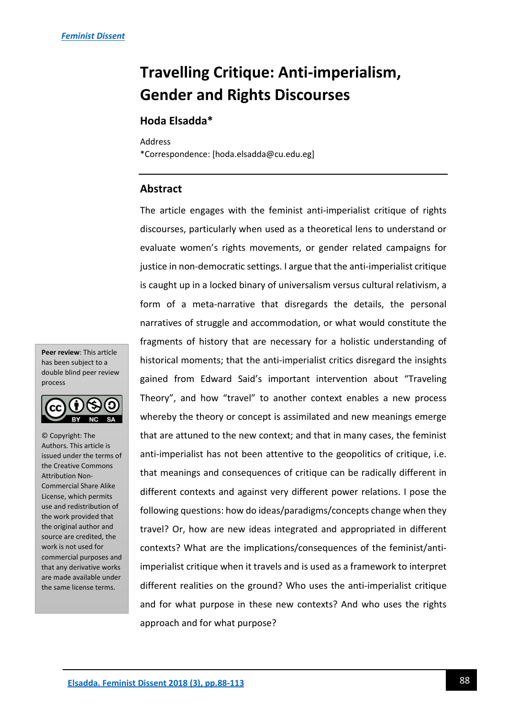# **Travelling Critique: Anti-imperialism, Gender and Rights Discourses**

# **Hoda Elsadda\***

Address

\*Correspondence: [hoda.elsadda@cu.edu.eg]

# **Abstract**

The article engages with the feminist anti-imperialist critique of rights discourses, particularly when used as a theoretical lens to understand or evaluate women's rights movements, or gender related campaigns for justice in non-democratic settings. I argue that the anti-imperialist critique is caught up in a locked binary of universalism versus cultural relativism, a form of a meta-narrative that disregards the details, the personal narratives of struggle and accommodation, or what would constitute the fragments of history that are necessary for a holistic understanding of historical moments; that the anti-imperialist critics disregard the insights gained from Edward Said's important intervention about "Traveling Theory", and how "travel" to another context enables a new process whereby the theory or concept is assimilated and new meanings emerge that are attuned to the new context; and that in many cases, the feminist anti-imperialist has not been attentive to the geopolitics of critique, i.e. that meanings and consequences of critique can be radically different in different contexts and against very different power relations. I pose the following questions: how do ideas/paradigms/concepts change when they travel? Or, how are new ideas integrated and appropriated in different contexts? What are the implications/consequences of the feminist/antiimperialist critique when it travels and is used as a framework to interpret different realities on the ground? Who uses the anti-imperialist critique and for what purpose in these new contexts? And who uses the rights approach and for what purpose?

**Peer review**: This article has been subject to a double blind peer review process



© Copyright: The Authors. This article is issued under the terms of the Creative Commons Attribution Non-Commercial Share Alike License, which permits use and redistribution of the work provided that the original author and source are credited, the work is not used for commercial purposes and that any derivative works are made available under the same license terms.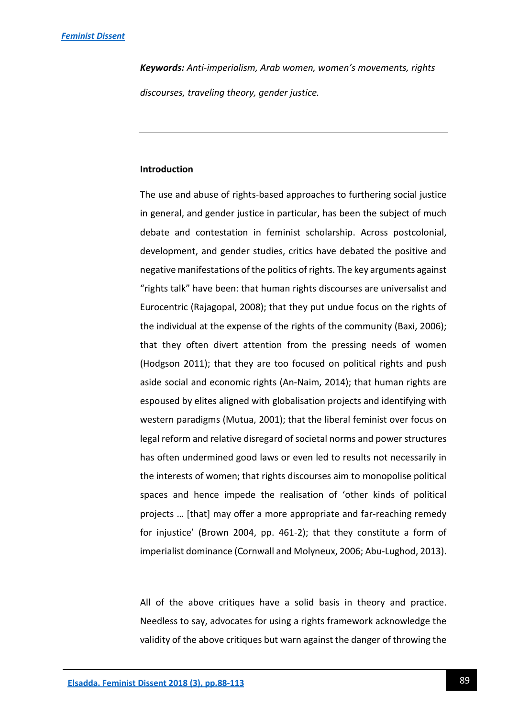*Keywords: Anti-imperialism, Arab women, women's movements, rights discourses, traveling theory, gender justice.* 

## **Introduction**

The use and abuse of rights-based approaches to furthering social justice in general, and gender justice in particular, has been the subject of much debate and contestation in feminist scholarship. Across postcolonial, development, and gender studies, critics have debated the positive and negative manifestations of the politics of rights. The key arguments against "rights talk" have been: that human rights discourses are universalist and Eurocentric (Rajagopal, 2008); that they put undue focus on the rights of the individual at the expense of the rights of the community (Baxi, 2006); that they often divert attention from the pressing needs of women (Hodgson 2011); that they are too focused on political rights and push aside social and economic rights (An-Naim, 2014); that human rights are espoused by elites aligned with globalisation projects and identifying with western paradigms (Mutua, 2001); that the liberal feminist over focus on legal reform and relative disregard of societal norms and power structures has often undermined good laws or even led to results not necessarily in the interests of women; that rights discourses aim to monopolise political spaces and hence impede the realisation of 'other kinds of political projects … [that] may offer a more appropriate and far-reaching remedy for injustice' (Brown 2004, pp. 461-2); that they constitute a form of imperialist dominance (Cornwall and Molyneux, 2006; Abu-Lughod, 2013).

All of the above critiques have a solid basis in theory and practice. Needless to say, advocates for using a rights framework acknowledge the validity of the above critiques but warn against the danger of throwing the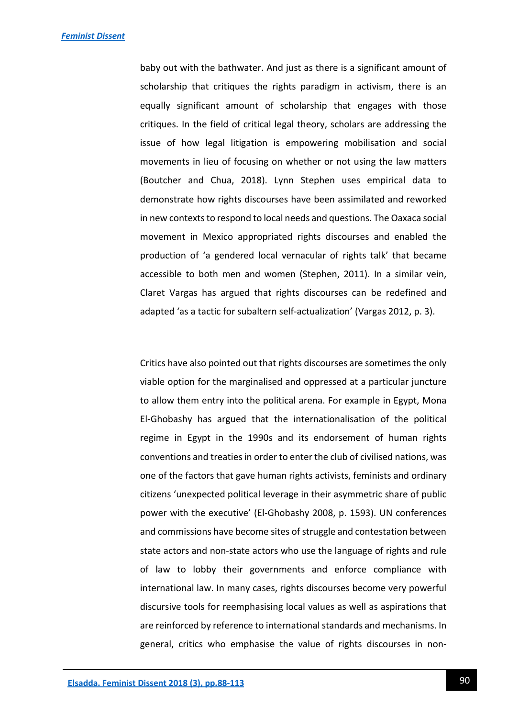baby out with the bathwater. And just as there is a significant amount of scholarship that critiques the rights paradigm in activism, there is an equally significant amount of scholarship that engages with those critiques. In the field of critical legal theory, scholars are addressing the issue of how legal litigation is empowering mobilisation and social movements in lieu of focusing on whether or not using the law matters (Boutcher and Chua, 2018). Lynn Stephen uses empirical data to demonstrate how rights discourses have been assimilated and reworked in new contexts to respond to local needs and questions. The Oaxaca social movement in Mexico appropriated rights discourses and enabled the production of 'a gendered local vernacular of rights talk' that became accessible to both men and women (Stephen, 2011). In a similar vein, Claret Vargas has argued that rights discourses can be redefined and adapted 'as a tactic for subaltern self-actualization' (Vargas 2012, p. 3).

Critics have also pointed out that rights discourses are sometimes the only viable option for the marginalised and oppressed at a particular juncture to allow them entry into the political arena. For example in Egypt, Mona El-Ghobashy has argued that the internationalisation of the political regime in Egypt in the 1990s and its endorsement of human rights conventions and treaties in order to enter the club of civilised nations, was one of the factors that gave human rights activists, feminists and ordinary citizens 'unexpected political leverage in their asymmetric share of public power with the executive' (El-Ghobashy 2008, p. 1593). UN conferences and commissions have become sites of struggle and contestation between state actors and non-state actors who use the language of rights and rule of law to lobby their governments and enforce compliance with international law. In many cases, rights discourses become very powerful discursive tools for reemphasising local values as well as aspirations that are reinforced by reference to international standards and mechanisms. In general, critics who emphasise the value of rights discourses in non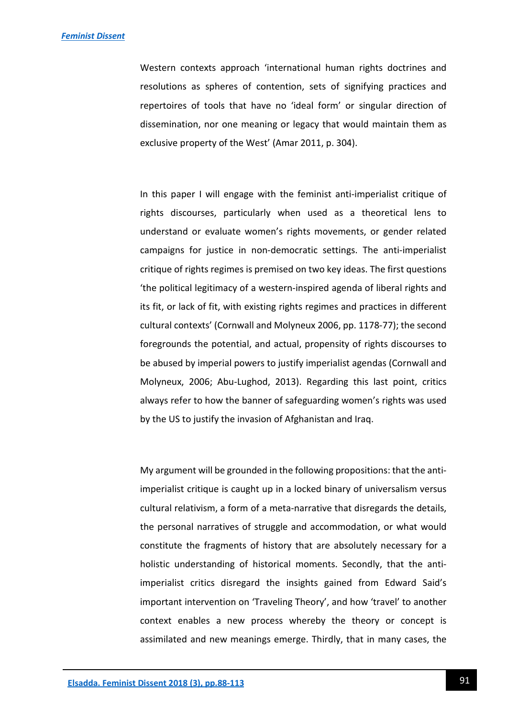Western contexts approach 'international human rights doctrines and resolutions as spheres of contention, sets of signifying practices and repertoires of tools that have no 'ideal form' or singular direction of dissemination, nor one meaning or legacy that would maintain them as exclusive property of the West' (Amar 2011, p. 304).

In this paper I will engage with the feminist anti-imperialist critique of rights discourses, particularly when used as a theoretical lens to understand or evaluate women's rights movements, or gender related campaigns for justice in non-democratic settings. The anti-imperialist critique of rights regimes is premised on two key ideas. The first questions 'the political legitimacy of a western-inspired agenda of liberal rights and its fit, or lack of fit, with existing rights regimes and practices in different cultural contexts' (Cornwall and Molyneux 2006, pp. 1178-77); the second foregrounds the potential, and actual, propensity of rights discourses to be abused by imperial powers to justify imperialist agendas (Cornwall and Molyneux, 2006; Abu-Lughod, 2013). Regarding this last point, critics always refer to how the banner of safeguarding women's rights was used by the US to justify the invasion of Afghanistan and Iraq.

My argument will be grounded in the following propositions: that the antiimperialist critique is caught up in a locked binary of universalism versus cultural relativism, a form of a meta-narrative that disregards the details, the personal narratives of struggle and accommodation, or what would constitute the fragments of history that are absolutely necessary for a holistic understanding of historical moments. Secondly, that the antiimperialist critics disregard the insights gained from Edward Said's important intervention on 'Traveling Theory', and how 'travel' to another context enables a new process whereby the theory or concept is assimilated and new meanings emerge. Thirdly, that in many cases, the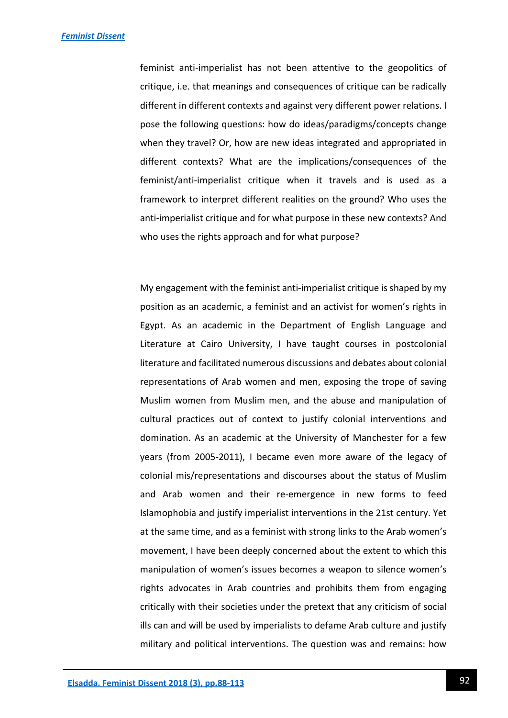feminist anti-imperialist has not been attentive to the geopolitics of critique, i.e. that meanings and consequences of critique can be radically different in different contexts and against very different power relations. I pose the following questions: how do ideas/paradigms/concepts change when they travel? Or, how are new ideas integrated and appropriated in different contexts? What are the implications/consequences of the feminist/anti-imperialist critique when it travels and is used as a framework to interpret different realities on the ground? Who uses the anti-imperialist critique and for what purpose in these new contexts? And who uses the rights approach and for what purpose?

My engagement with the feminist anti-imperialist critique is shaped by my position as an academic, a feminist and an activist for women's rights in Egypt. As an academic in the Department of English Language and Literature at Cairo University, I have taught courses in postcolonial literature and facilitated numerous discussions and debates about colonial representations of Arab women and men, exposing the trope of saving Muslim women from Muslim men, and the abuse and manipulation of cultural practices out of context to justify colonial interventions and domination. As an academic at the University of Manchester for a few years (from 2005-2011), I became even more aware of the legacy of colonial mis/representations and discourses about the status of Muslim and Arab women and their re-emergence in new forms to feed Islamophobia and justify imperialist interventions in the 21st century. Yet at the same time, and as a feminist with strong links to the Arab women's movement, I have been deeply concerned about the extent to which this manipulation of women's issues becomes a weapon to silence women's rights advocates in Arab countries and prohibits them from engaging critically with their societies under the pretext that any criticism of social ills can and will be used by imperialists to defame Arab culture and justify military and political interventions. The question was and remains: how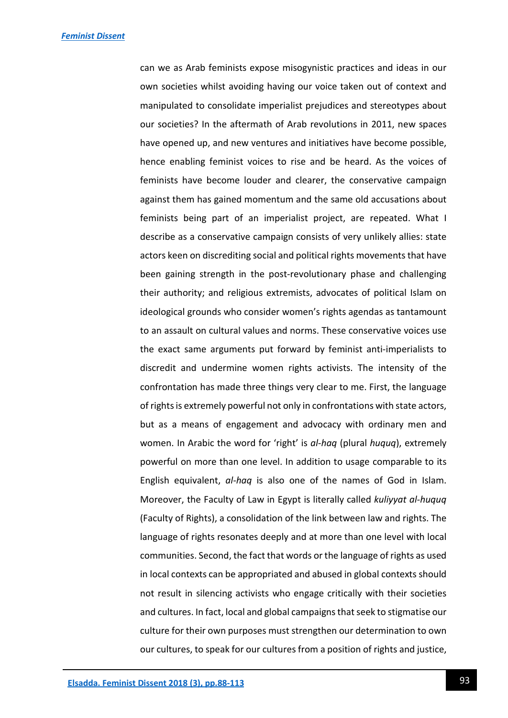can we as Arab feminists expose misogynistic practices and ideas in our own societies whilst avoiding having our voice taken out of context and manipulated to consolidate imperialist prejudices and stereotypes about our societies? In the aftermath of Arab revolutions in 2011, new spaces have opened up, and new ventures and initiatives have become possible, hence enabling feminist voices to rise and be heard. As the voices of feminists have become louder and clearer, the conservative campaign against them has gained momentum and the same old accusations about feminists being part of an imperialist project, are repeated. What I describe as a conservative campaign consists of very unlikely allies: state actors keen on discrediting social and political rights movements that have been gaining strength in the post-revolutionary phase and challenging their authority; and religious extremists, advocates of political Islam on ideological grounds who consider women's rights agendas as tantamount to an assault on cultural values and norms. These conservative voices use the exact same arguments put forward by feminist anti-imperialists to discredit and undermine women rights activists. The intensity of the confrontation has made three things very clear to me. First, the language of rights is extremely powerful not only in confrontations with state actors, but as a means of engagement and advocacy with ordinary men and women. In Arabic the word for 'right' is *al-haq* (plural *huquq*), extremely powerful on more than one level. In addition to usage comparable to its English equivalent, *al-haq* is also one of the names of God in Islam. Moreover, the Faculty of Law in Egypt is literally called *kuliyyat al-huquq* (Faculty of Rights), a consolidation of the link between law and rights. The language of rights resonates deeply and at more than one level with local communities. Second, the fact that words or the language of rights as used in local contexts can be appropriated and abused in global contexts should not result in silencing activists who engage critically with their societies and cultures. In fact, local and global campaigns that seek to stigmatise our culture for their own purposes must strengthen our determination to own our cultures, to speak for our cultures from a position of rights and justice,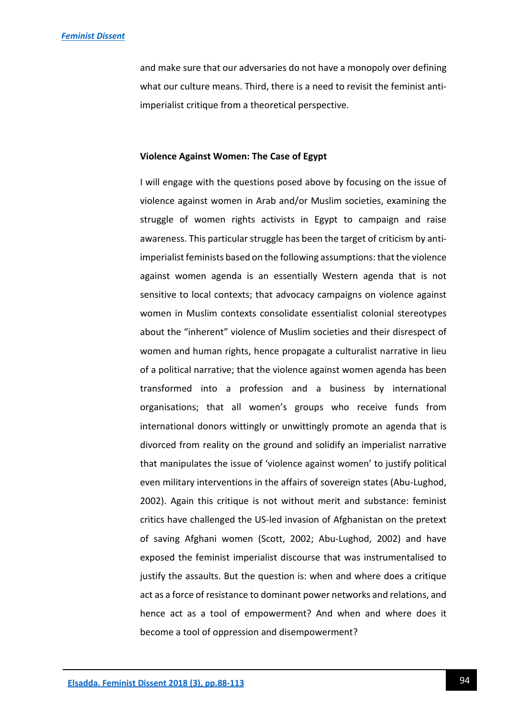and make sure that our adversaries do not have a monopoly over defining what our culture means. Third, there is a need to revisit the feminist antiimperialist critique from a theoretical perspective.

#### **Violence Against Women: The Case of Egypt**

I will engage with the questions posed above by focusing on the issue of violence against women in Arab and/or Muslim societies, examining the struggle of women rights activists in Egypt to campaign and raise awareness. This particular struggle has been the target of criticism by antiimperialist feminists based on the following assumptions: that the violence against women agenda is an essentially Western agenda that is not sensitive to local contexts; that advocacy campaigns on violence against women in Muslim contexts consolidate essentialist colonial stereotypes about the "inherent" violence of Muslim societies and their disrespect of women and human rights, hence propagate a culturalist narrative in lieu of a political narrative; that the violence against women agenda has been transformed into a profession and a business by international organisations; that all women's groups who receive funds from international donors wittingly or unwittingly promote an agenda that is divorced from reality on the ground and solidify an imperialist narrative that manipulates the issue of 'violence against women' to justify political even military interventions in the affairs of sovereign states (Abu-Lughod, 2002). Again this critique is not without merit and substance: feminist critics have challenged the US-led invasion of Afghanistan on the pretext of saving Afghani women (Scott, 2002; Abu-Lughod, 2002) and have exposed the feminist imperialist discourse that was instrumentalised to justify the assaults. But the question is: when and where does a critique act as a force of resistance to dominant power networks and relations, and hence act as a tool of empowerment? And when and where does it become a tool of oppression and disempowerment?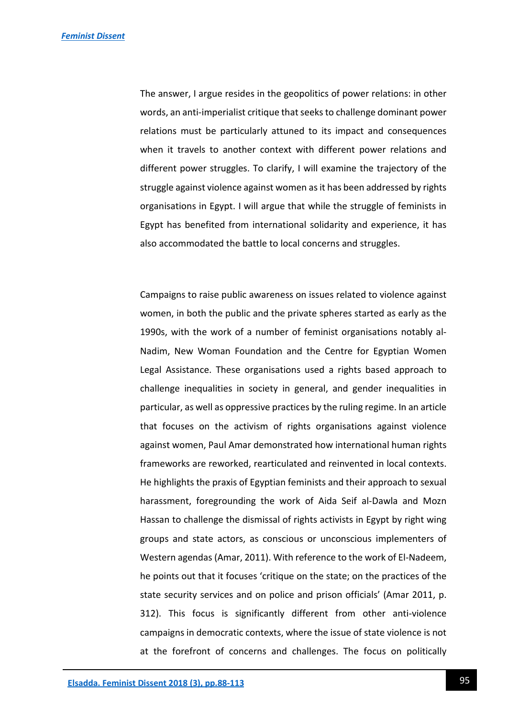The answer, I argue resides in the geopolitics of power relations: in other words, an anti-imperialist critique that seeks to challenge dominant power relations must be particularly attuned to its impact and consequences when it travels to another context with different power relations and different power struggles. To clarify, I will examine the trajectory of the struggle against violence against women as it has been addressed by rights organisations in Egypt. I will argue that while the struggle of feminists in Egypt has benefited from international solidarity and experience, it has also accommodated the battle to local concerns and struggles.

Campaigns to raise public awareness on issues related to violence against women, in both the public and the private spheres started as early as the 1990s, with the work of a number of feminist organisations notably al-Nadim, New Woman Foundation and the Centre for Egyptian Women Legal Assistance. These organisations used a rights based approach to challenge inequalities in society in general, and gender inequalities in particular, as well as oppressive practices by the ruling regime. In an article that focuses on the activism of rights organisations against violence against women, Paul Amar demonstrated how international human rights frameworks are reworked, rearticulated and reinvented in local contexts. He highlights the praxis of Egyptian feminists and their approach to sexual harassment, foregrounding the work of Aida Seif al-Dawla and Mozn Hassan to challenge the dismissal of rights activists in Egypt by right wing groups and state actors, as conscious or unconscious implementers of Western agendas (Amar, 2011). With reference to the work of El-Nadeem, he points out that it focuses 'critique on the state; on the practices of the state security services and on police and prison officials' (Amar 2011, p. 312). This focus is significantly different from other anti-violence campaigns in democratic contexts, where the issue of state violence is not at the forefront of concerns and challenges. The focus on politically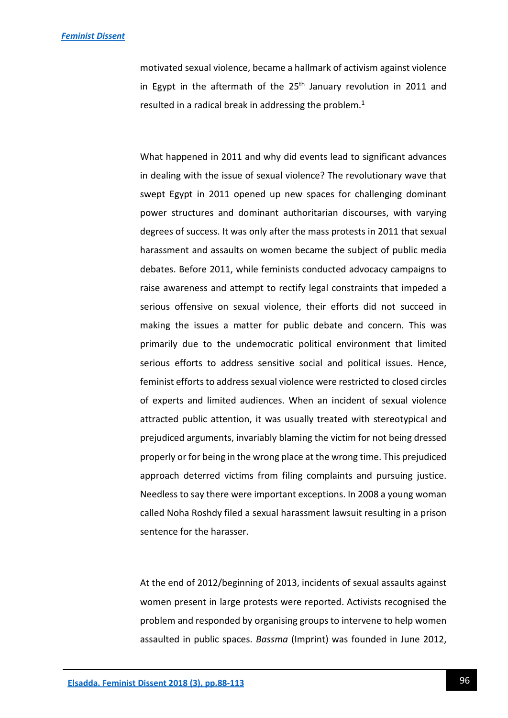motivated sexual violence, became a hallmark of activism against violence in Egypt in the aftermath of the  $25<sup>th</sup>$  January revolution in 2011 and resulted in a radical break in addressing the problem.<sup>1</sup>

What happened in 2011 and why did events lead to significant advances in dealing with the issue of sexual violence? The revolutionary wave that swept Egypt in 2011 opened up new spaces for challenging dominant power structures and dominant authoritarian discourses, with varying degrees of success. It was only after the mass protests in 2011 that sexual harassment and assaults on women became the subject of public media debates. Before 2011, while feminists conducted advocacy campaigns to raise awareness and attempt to rectify legal constraints that impeded a serious offensive on sexual violence, their efforts did not succeed in making the issues a matter for public debate and concern. This was primarily due to the undemocratic political environment that limited serious efforts to address sensitive social and political issues. Hence, feminist efforts to address sexual violence were restricted to closed circles of experts and limited audiences. When an incident of sexual violence attracted public attention, it was usually treated with stereotypical and prejudiced arguments, invariably blaming the victim for not being dressed properly or for being in the wrong place at the wrong time. This prejudiced approach deterred victims from filing complaints and pursuing justice. Needless to say there were important exceptions. In 2008 a young woman called Noha Roshdy filed a sexual harassment lawsuit resulting in a prison sentence for the harasser.

At the end of 2012/beginning of 2013, incidents of sexual assaults against women present in large protests were reported. Activists recognised the problem and responded by organising groups to intervene to help women assaulted in public spaces. *Bassma* (Imprint) was founded in June 2012,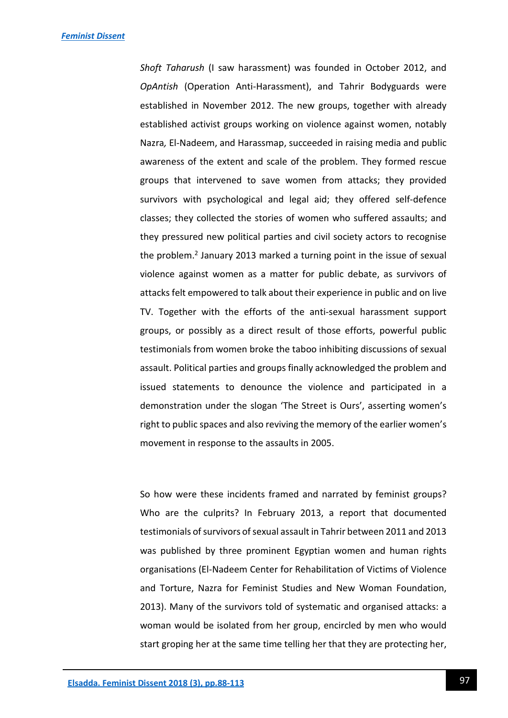*Shoft Taharush* (I saw harassment) was founded in October 2012, and *OpAntish* (Operation Anti-Harassment), and Tahrir Bodyguards were established in November 2012. The new groups, together with already established activist groups working on violence against women, notably Nazra*,* El-Nadeem, and Harassmap, succeeded in raising media and public awareness of the extent and scale of the problem. They formed rescue groups that intervened to save women from attacks; they provided survivors with psychological and legal aid; they offered self-defence classes; they collected the stories of women who suffered assaults; and they pressured new political parties and civil society actors to recognise the problem.<sup>2</sup> January 2013 marked a turning point in the issue of sexual violence against women as a matter for public debate, as survivors of attacks felt empowered to talk about their experience in public and on live TV. Together with the efforts of the anti-sexual harassment support groups, or possibly as a direct result of those efforts, powerful public testimonials from women broke the taboo inhibiting discussions of sexual assault. Political parties and groups finally acknowledged the problem and issued statements to denounce the violence and participated in a demonstration under the slogan 'The Street is Ours', asserting women's right to public spaces and also reviving the memory of the earlier women's movement in response to the assaults in 2005.

So how were these incidents framed and narrated by feminist groups? Who are the culprits? In February 2013, a report that documented testimonials of survivors of sexual assault in Tahrir between 2011 and 2013 was published by three prominent Egyptian women and human rights organisations (El-Nadeem Center for Rehabilitation of Victims of Violence and Torture, Nazra for Feminist Studies and New Woman Foundation, 2013). Many of the survivors told of systematic and organised attacks: a woman would be isolated from her group, encircled by men who would start groping her at the same time telling her that they are protecting her,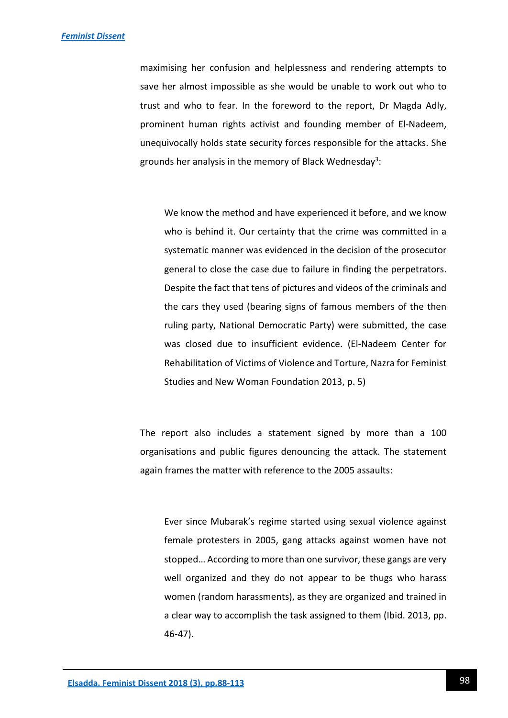maximising her confusion and helplessness and rendering attempts to save her almost impossible as she would be unable to work out who to trust and who to fear. In the foreword to the report, Dr Magda Adly, prominent human rights activist and founding member of El-Nadeem, unequivocally holds state security forces responsible for the attacks. She grounds her analysis in the memory of Black Wednesday<sup>3</sup>:

We know the method and have experienced it before, and we know who is behind it. Our certainty that the crime was committed in a systematic manner was evidenced in the decision of the prosecutor general to close the case due to failure in finding the perpetrators. Despite the fact that tens of pictures and videos of the criminals and the cars they used (bearing signs of famous members of the then ruling party, National Democratic Party) were submitted, the case was closed due to insufficient evidence. (El-Nadeem Center for Rehabilitation of Victims of Violence and Torture, Nazra for Feminist Studies and New Woman Foundation 2013, p. 5)

The report also includes a statement signed by more than a 100 organisations and public figures denouncing the attack. The statement again frames the matter with reference to the 2005 assaults:

Ever since Mubarak's regime started using sexual violence against female protesters in 2005, gang attacks against women have not stopped… According to more than one survivor, these gangs are very well organized and they do not appear to be thugs who harass women (random harassments), as they are organized and trained in a clear way to accomplish the task assigned to them (Ibid. 2013, pp. 46-47).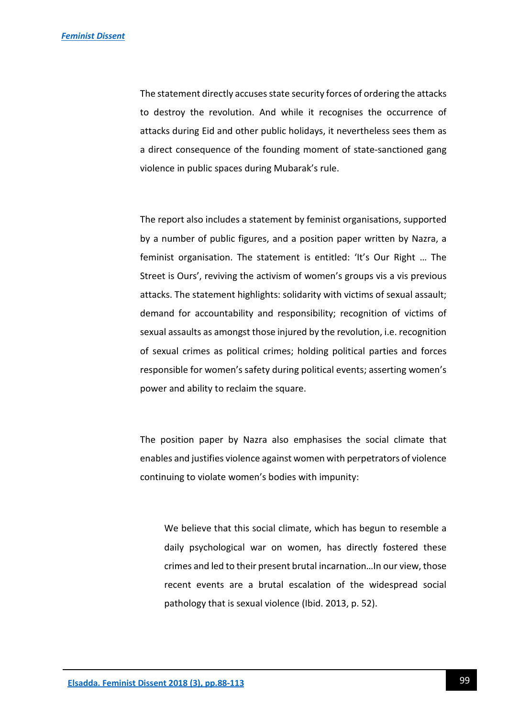The statement directly accuses state security forces of ordering the attacks to destroy the revolution. And while it recognises the occurrence of attacks during Eid and other public holidays, it nevertheless sees them as a direct consequence of the founding moment of state-sanctioned gang violence in public spaces during Mubarak's rule.

The report also includes a statement by feminist organisations, supported by a number of public figures, and a position paper written by Nazra, a feminist organisation. The statement is entitled: 'It's Our Right … The Street is Ours', reviving the activism of women's groups vis a vis previous attacks. The statement highlights: solidarity with victims of sexual assault; demand for accountability and responsibility; recognition of victims of sexual assaults as amongst those injured by the revolution, i.e. recognition of sexual crimes as political crimes; holding political parties and forces responsible for women's safety during political events; asserting women's power and ability to reclaim the square.

The position paper by Nazra also emphasises the social climate that enables and justifies violence against women with perpetrators of violence continuing to violate women's bodies with impunity:

We believe that this social climate, which has begun to resemble a daily psychological war on women, has directly fostered these crimes and led to their present brutal incarnation…In our view, those recent events are a brutal escalation of the widespread social pathology that is sexual violence (Ibid. 2013, p. 52).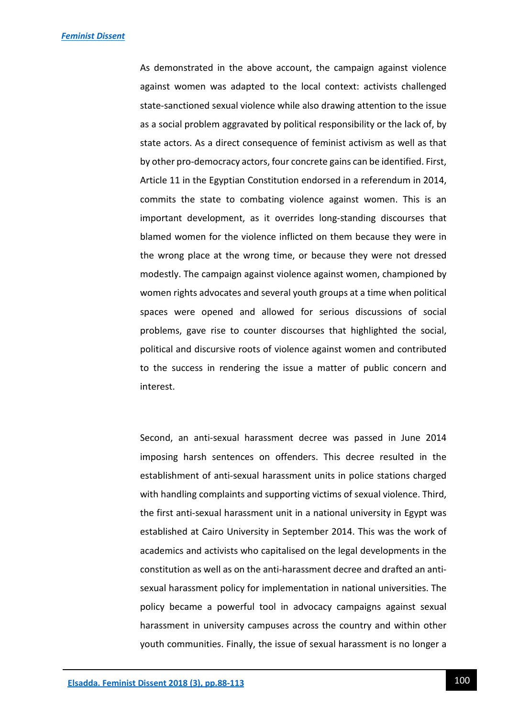As demonstrated in the above account, the campaign against violence against women was adapted to the local context: activists challenged state-sanctioned sexual violence while also drawing attention to the issue as a social problem aggravated by political responsibility or the lack of, by state actors. As a direct consequence of feminist activism as well as that by other pro-democracy actors, four concrete gains can be identified. First, Article 11 in the Egyptian Constitution endorsed in a referendum in 2014, commits the state to combating violence against women. This is an important development, as it overrides long-standing discourses that blamed women for the violence inflicted on them because they were in the wrong place at the wrong time, or because they were not dressed modestly. The campaign against violence against women, championed by women rights advocates and several youth groups at a time when political spaces were opened and allowed for serious discussions of social problems, gave rise to counter discourses that highlighted the social, political and discursive roots of violence against women and contributed to the success in rendering the issue a matter of public concern and interest.

Second, an anti-sexual harassment decree was passed in June 2014 imposing harsh sentences on offenders. This decree resulted in the establishment of anti-sexual harassment units in police stations charged with handling complaints and supporting victims of sexual violence. Third, the first anti-sexual harassment unit in a national university in Egypt was established at Cairo University in September 2014. This was the work of academics and activists who capitalised on the legal developments in the constitution as well as on the anti-harassment decree and drafted an antisexual harassment policy for implementation in national universities. The policy became a powerful tool in advocacy campaigns against sexual harassment in university campuses across the country and within other youth communities. Finally, the issue of sexual harassment is no longer a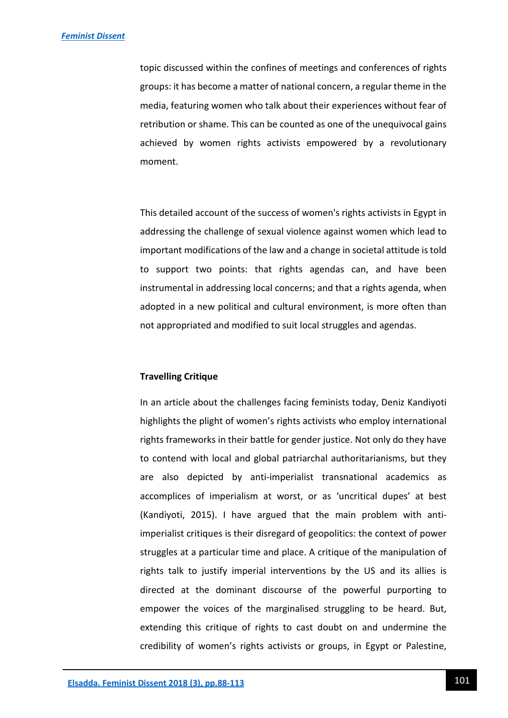topic discussed within the confines of meetings and conferences of rights groups: it has become a matter of national concern, a regular theme in the media, featuring women who talk about their experiences without fear of retribution or shame. This can be counted as one of the unequivocal gains achieved by women rights activists empowered by a revolutionary moment.

This detailed account of the success of women's rights activists in Egypt in addressing the challenge of sexual violence against women which lead to important modifications of the law and a change in societal attitude is told to support two points: that rights agendas can, and have been instrumental in addressing local concerns; and that a rights agenda, when adopted in a new political and cultural environment, is more often than not appropriated and modified to suit local struggles and agendas.

## **Travelling Critique**

In an article about the challenges facing feminists today, Deniz Kandiyoti highlights the plight of women's rights activists who employ international rights frameworks in their battle for gender justice. Not only do they have to contend with local and global patriarchal authoritarianisms, but they are also depicted by anti-imperialist transnational academics as accomplices of imperialism at worst, or as 'uncritical dupes' at best (Kandiyoti, 2015). I have argued that the main problem with antiimperialist critiques is their disregard of geopolitics: the context of power struggles at a particular time and place. A critique of the manipulation of rights talk to justify imperial interventions by the US and its allies is directed at the dominant discourse of the powerful purporting to empower the voices of the marginalised struggling to be heard. But, extending this critique of rights to cast doubt on and undermine the credibility of women's rights activists or groups, in Egypt or Palestine,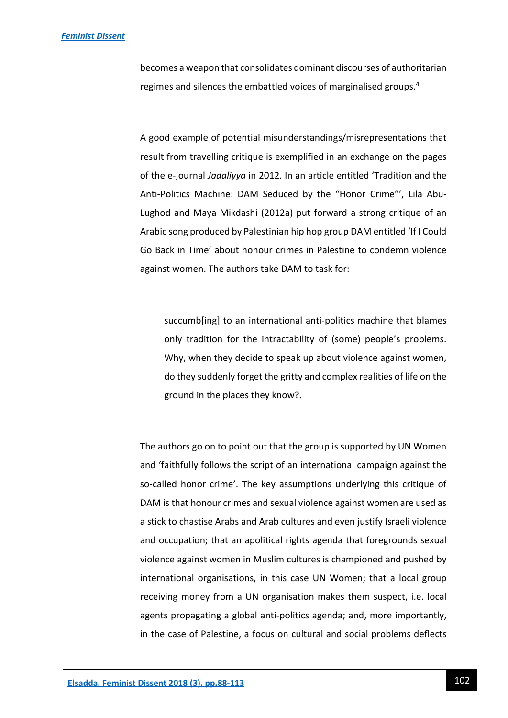becomes a weapon that consolidates dominant discourses of authoritarian regimes and silences the embattled voices of marginalised groups.<sup>4</sup>

A good example of potential misunderstandings/misrepresentations that result from travelling critique is exemplified in an exchange on the pages of the e-journal *Jadaliyya* in 2012. In an article entitled 'Tradition and the Anti-Politics Machine: DAM Seduced by the "Honor Crime"', Lila Abu-Lughod and Maya Mikdashi (2012a) put forward a strong critique of an Arabic song produced by Palestinian hip hop group DAM entitled 'If I Could Go Back in Time' about honour crimes in Palestine to condemn violence against women. The authors take DAM to task for:

succumb[ing] to an international anti-politics machine that blames only tradition for the intractability of (some) people's problems. Why, when they decide to speak up about violence against women, do they suddenly forget the gritty and complex realities of life on the ground in the places they know?.

The authors go on to point out that the group is supported by UN Women and 'faithfully follows the script of an international campaign against the so-called honor crime'. The key assumptions underlying this critique of DAM is that honour crimes and sexual violence against women are used as a stick to chastise Arabs and Arab cultures and even justify Israeli violence and occupation; that an apolitical rights agenda that foregrounds sexual violence against women in Muslim cultures is championed and pushed by international organisations, in this case UN Women; that a local group receiving money from a UN organisation makes them suspect, i.e. local agents propagating a global anti-politics agenda; and, more importantly, in the case of Palestine, a focus on cultural and social problems deflects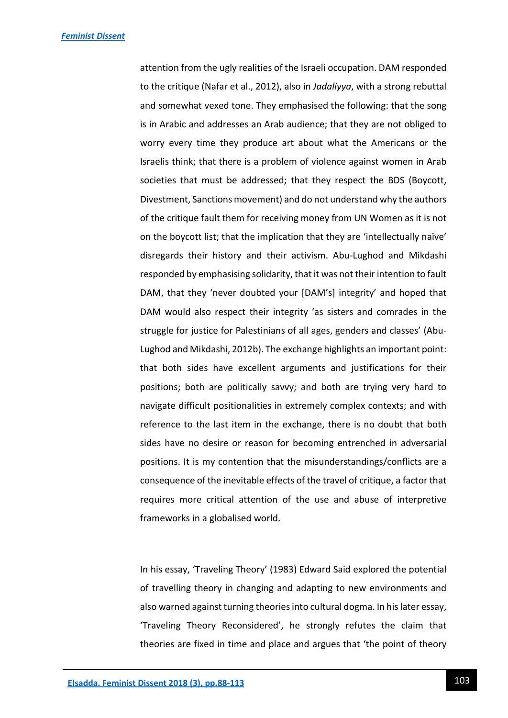attention from the ugly realities of the Israeli occupation. DAM responded to the critique (Nafar et al., 2012), also in *Jadaliyya*, with a strong rebuttal and somewhat vexed tone. They emphasised the following: that the song is in Arabic and addresses an Arab audience; that they are not obliged to worry every time they produce art about what the Americans or the Israelis think; that there is a problem of violence against women in Arab societies that must be addressed; that they respect the BDS (Boycott, Divestment, Sanctions movement) and do not understand why the authors of the critique fault them for receiving money from UN Women as it is not on the boycott list; that the implication that they are 'intellectually naïve' disregards their history and their activism. Abu-Lughod and Mikdashi responded by emphasising solidarity, that it was not their intention to fault DAM, that they 'never doubted your [DAM's] integrity' and hoped that DAM would also respect their integrity 'as sisters and comrades in the struggle for justice for Palestinians of all ages, genders and classes' (Abu-Lughod and Mikdashi, 2012b). The exchange highlights an important point: that both sides have excellent arguments and justifications for their positions; both are politically savvy; and both are trying very hard to navigate difficult positionalities in extremely complex contexts; and with reference to the last item in the exchange, there is no doubt that both sides have no desire or reason for becoming entrenched in adversarial positions. It is my contention that the misunderstandings/conflicts are a consequence of the inevitable effects of the travel of critique, a factor that requires more critical attention of the use and abuse of interpretive frameworks in a globalised world.

In his essay, 'Traveling Theory' (1983) Edward Said explored the potential of travelling theory in changing and adapting to new environments and also warned against turning theories into cultural dogma. In his later essay, 'Traveling Theory Reconsidered', he strongly refutes the claim that theories are fixed in time and place and argues that 'the point of theory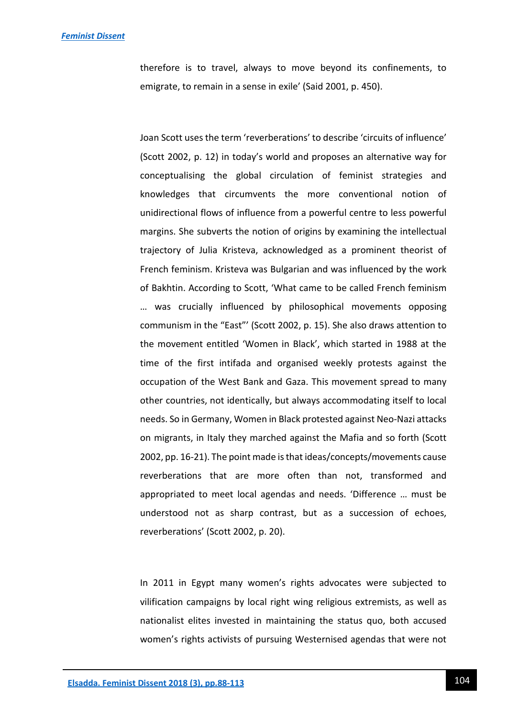therefore is to travel, always to move beyond its confinements, to emigrate, to remain in a sense in exile' (Said 2001, p. 450).

Joan Scott uses the term 'reverberations' to describe 'circuits of influence' (Scott 2002, p. 12) in today's world and proposes an alternative way for conceptualising the global circulation of feminist strategies and knowledges that circumvents the more conventional notion of unidirectional flows of influence from a powerful centre to less powerful margins. She subverts the notion of origins by examining the intellectual trajectory of Julia Kristeva, acknowledged as a prominent theorist of French feminism. Kristeva was Bulgarian and was influenced by the work of Bakhtin. According to Scott, 'What came to be called French feminism … was crucially influenced by philosophical movements opposing communism in the "East"' (Scott 2002, p. 15). She also draws attention to the movement entitled 'Women in Black', which started in 1988 at the time of the first intifada and organised weekly protests against the occupation of the West Bank and Gaza. This movement spread to many other countries, not identically, but always accommodating itself to local needs. So in Germany, Women in Black protested against Neo-Nazi attacks on migrants, in Italy they marched against the Mafia and so forth (Scott 2002, pp. 16-21). The point made is that ideas/concepts/movements cause reverberations that are more often than not, transformed and appropriated to meet local agendas and needs. 'Difference … must be understood not as sharp contrast, but as a succession of echoes, reverberations' (Scott 2002, p. 20).

In 2011 in Egypt many women's rights advocates were subjected to vilification campaigns by local right wing religious extremists, as well as nationalist elites invested in maintaining the status quo, both accused women's rights activists of pursuing Westernised agendas that were not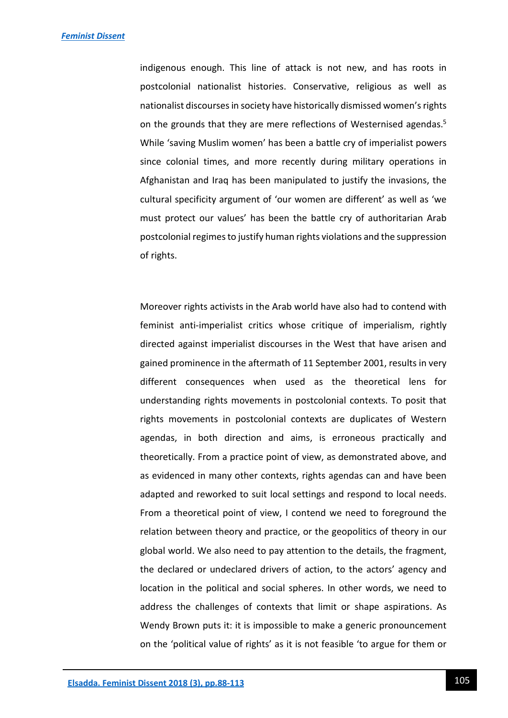indigenous enough. This line of attack is not new, and has roots in postcolonial nationalist histories. Conservative, religious as well as nationalist discourses in society have historically dismissed women's rights on the grounds that they are mere reflections of Westernised agendas.<sup>5</sup> While 'saving Muslim women' has been a battle cry of imperialist powers since colonial times, and more recently during military operations in Afghanistan and Iraq has been manipulated to justify the invasions, the cultural specificity argument of 'our women are different' as well as 'we must protect our values' has been the battle cry of authoritarian Arab postcolonial regimes to justify human rights violations and the suppression of rights.

Moreover rights activists in the Arab world have also had to contend with feminist anti-imperialist critics whose critique of imperialism, rightly directed against imperialist discourses in the West that have arisen and gained prominence in the aftermath of 11 September 2001, results in very different consequences when used as the theoretical lens for understanding rights movements in postcolonial contexts. To posit that rights movements in postcolonial contexts are duplicates of Western agendas, in both direction and aims, is erroneous practically and theoretically. From a practice point of view, as demonstrated above, and as evidenced in many other contexts, rights agendas can and have been adapted and reworked to suit local settings and respond to local needs. From a theoretical point of view, I contend we need to foreground the relation between theory and practice, or the geopolitics of theory in our global world. We also need to pay attention to the details, the fragment, the declared or undeclared drivers of action, to the actors' agency and location in the political and social spheres. In other words, we need to address the challenges of contexts that limit or shape aspirations. As Wendy Brown puts it: it is impossible to make a generic pronouncement on the 'political value of rights' as it is not feasible 'to argue for them or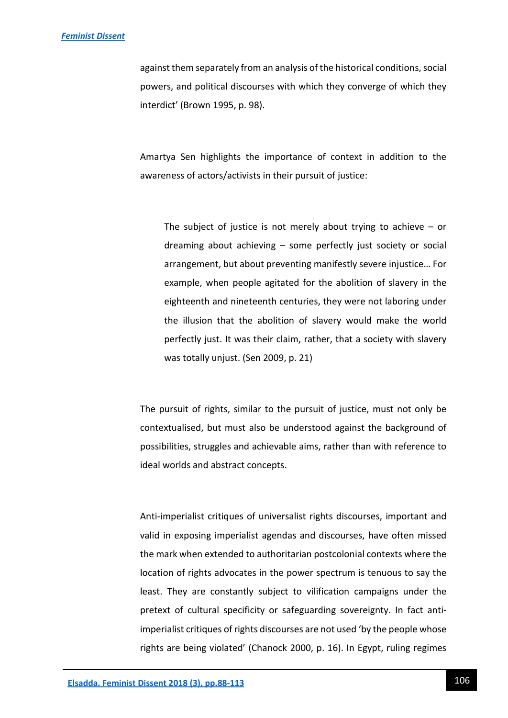#### *[Feminist Dissent](https://journals.warwick.ac.uk/index.php/feministdissent/index)*

against them separately from an analysis of the historical conditions, social powers, and political discourses with which they converge of which they interdict' (Brown 1995, p. 98).

Amartya Sen highlights the importance of context in addition to the awareness of actors/activists in their pursuit of justice:

The subject of justice is not merely about trying to achieve  $-$  or dreaming about achieving – some perfectly just society or social arrangement, but about preventing manifestly severe injustice… For example, when people agitated for the abolition of slavery in the eighteenth and nineteenth centuries, they were not laboring under the illusion that the abolition of slavery would make the world perfectly just. It was their claim, rather, that a society with slavery was totally unjust. (Sen 2009, p. 21)

The pursuit of rights, similar to the pursuit of justice, must not only be contextualised, but must also be understood against the background of possibilities, struggles and achievable aims, rather than with reference to ideal worlds and abstract concepts.

Anti-imperialist critiques of universalist rights discourses, important and valid in exposing imperialist agendas and discourses, have often missed the mark when extended to authoritarian postcolonial contexts where the location of rights advocates in the power spectrum is tenuous to say the least. They are constantly subject to vilification campaigns under the pretext of cultural specificity or safeguarding sovereignty. In fact antiimperialist critiques of rights discourses are not used 'by the people whose rights are being violated' (Chanock 2000, p. 16). In Egypt, ruling regimes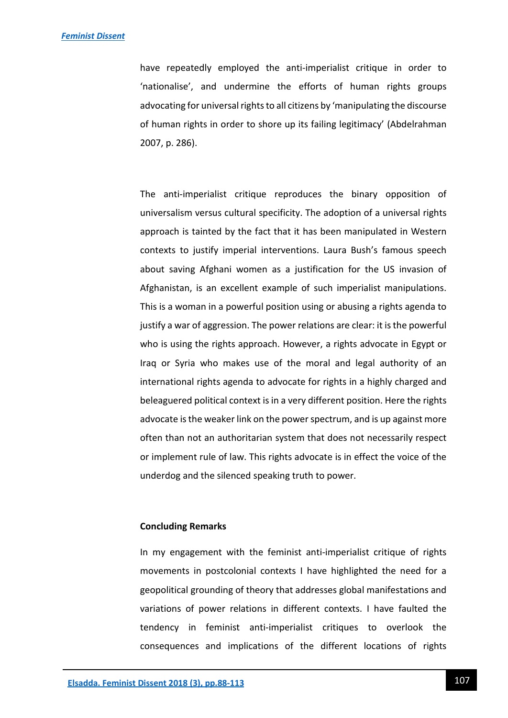#### *[Feminist Dissent](https://journals.warwick.ac.uk/index.php/feministdissent/index)*

have repeatedly employed the anti-imperialist critique in order to 'nationalise', and undermine the efforts of human rights groups advocating for universal rights to all citizens by 'manipulating the discourse of human rights in order to shore up its failing legitimacy' (Abdelrahman 2007, p. 286).

The anti-imperialist critique reproduces the binary opposition of universalism versus cultural specificity. The adoption of a universal rights approach is tainted by the fact that it has been manipulated in Western contexts to justify imperial interventions. Laura Bush's famous speech about saving Afghani women as a justification for the US invasion of Afghanistan, is an excellent example of such imperialist manipulations. This is a woman in a powerful position using or abusing a rights agenda to justify a war of aggression. The power relations are clear: it is the powerful who is using the rights approach. However, a rights advocate in Egypt or Iraq or Syria who makes use of the moral and legal authority of an international rights agenda to advocate for rights in a highly charged and beleaguered political context is in a very different position. Here the rights advocate is the weaker link on the power spectrum, and is up against more often than not an authoritarian system that does not necessarily respect or implement rule of law. This rights advocate is in effect the voice of the underdog and the silenced speaking truth to power.

## **Concluding Remarks**

In my engagement with the feminist anti-imperialist critique of rights movements in postcolonial contexts I have highlighted the need for a geopolitical grounding of theory that addresses global manifestations and variations of power relations in different contexts. I have faulted the tendency in feminist anti-imperialist critiques to overlook the consequences and implications of the different locations of rights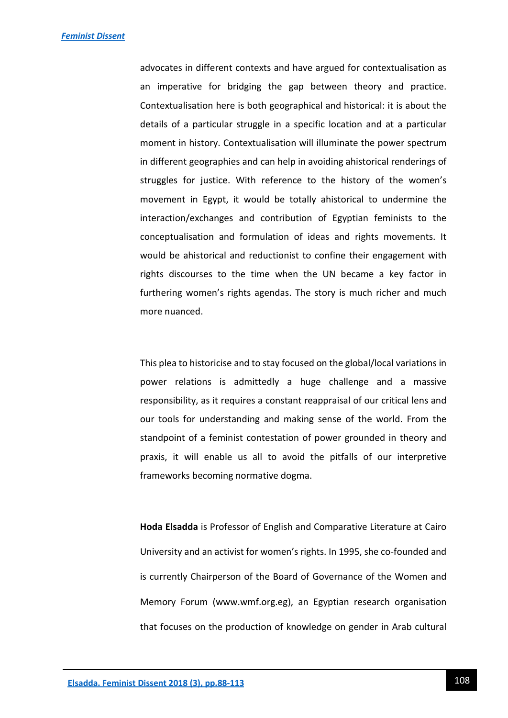advocates in different contexts and have argued for contextualisation as an imperative for bridging the gap between theory and practice. Contextualisation here is both geographical and historical: it is about the details of a particular struggle in a specific location and at a particular moment in history. Contextualisation will illuminate the power spectrum in different geographies and can help in avoiding ahistorical renderings of struggles for justice. With reference to the history of the women's movement in Egypt, it would be totally ahistorical to undermine the interaction/exchanges and contribution of Egyptian feminists to the conceptualisation and formulation of ideas and rights movements. It would be ahistorical and reductionist to confine their engagement with rights discourses to the time when the UN became a key factor in furthering women's rights agendas. The story is much richer and much more nuanced.

This plea to historicise and to stay focused on the global/local variations in power relations is admittedly a huge challenge and a massive responsibility, as it requires a constant reappraisal of our critical lens and our tools for understanding and making sense of the world. From the standpoint of a feminist contestation of power grounded in theory and praxis, it will enable us all to avoid the pitfalls of our interpretive frameworks becoming normative dogma.

**Hoda Elsadda** is Professor of English and Comparative Literature at Cairo University and an activist for women's rights. In 1995, she co-founded and is currently Chairperson of the Board of Governance of the Women and Memory Forum (www.wmf.org.eg), an Egyptian research organisation that focuses on the production of knowledge on gender in Arab cultural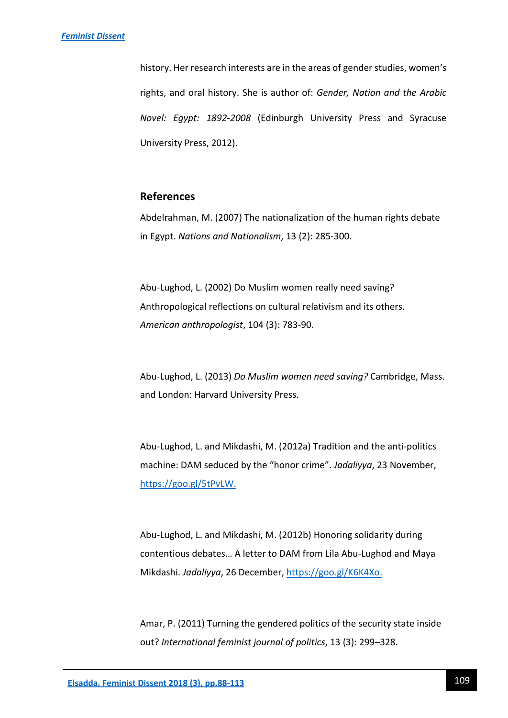history. Her research interests are in the areas of gender studies, women's rights, and oral history. She is author of: *Gender, Nation and the Arabic Novel: Egypt: 1892-2008* (Edinburgh University Press and Syracuse University Press, 2012).

# **References**

Abdelrahman, M. (2007) The nationalization of the human rights debate in Egypt. *Nations and Nationalism*, 13 (2): 285-300.

Abu-Lughod, L. (2002) Do Muslim women really need saving? Anthropological reflections on cultural relativism and its others. *American anthropologist*, 104 (3): 783-90.

Abu-Lughod, L. (2013) *Do Muslim women need saving?* Cambridge, Mass. and London: Harvard University Press.

Abu-Lughod, L. and Mikdashi, M. (2012a) Tradition and the anti-politics machine: DAM seduced by the "honor crime". *Jadaliyya*, 23 November, [https://goo.gl/5tPvLW.](https://goo.gl/5tPvLW)

Abu-Lughod, L. and Mikdashi, M. (2012b) Honoring solidarity during contentious debates… A letter to DAM from Lila Abu-Lughod and Maya Mikdashi. *Jadaliyya*, 26 December[, https://goo.gl/K6K4Xo.](https://goo.gl/K6K4Xo)

Amar, P. (2011) Turning the gendered politics of the security state inside out? *International feminist journal of politics*, 13 (3): 299–328.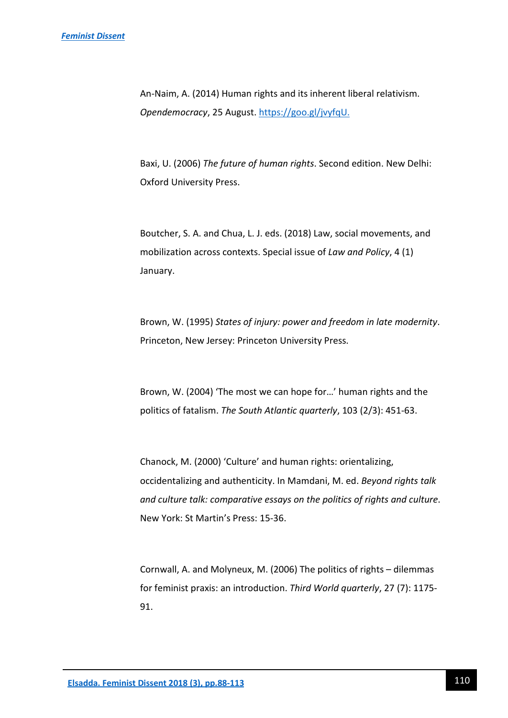An-Naim, A. (2014) Human rights and its inherent liberal relativism. *Opendemocracy*, 25 August. [https://goo.gl/jvyfqU.](https://goo.gl/jvyfqU)

Baxi, U. (2006) *The future of human rights*. Second edition. New Delhi: Oxford University Press.

Boutcher, S. A. and Chua, L. J. eds. (2018) Law, social movements, and mobilization across contexts. Special issue of *Law and Policy*, 4 (1) January.

Brown, W. (1995) *States of injury: power and freedom in late modernity*. Princeton, New Jersey: Princeton University Press.

Brown, W. (2004) 'The most we can hope for…' human rights and the politics of fatalism. *The South Atlantic quarterly*, 103 (2/3): 451-63.

Chanock, M. (2000) 'Culture' and human rights: orientalizing, occidentalizing and authenticity. In Mamdani, M. ed. *Beyond rights talk and culture talk: comparative essays on the politics of rights and culture*. New York: St Martin's Press: 15-36.

Cornwall, A. and Molyneux, M. (2006) The politics of rights – dilemmas for feminist praxis: an introduction. *Third World quarterly*, 27 (7): 1175- 91.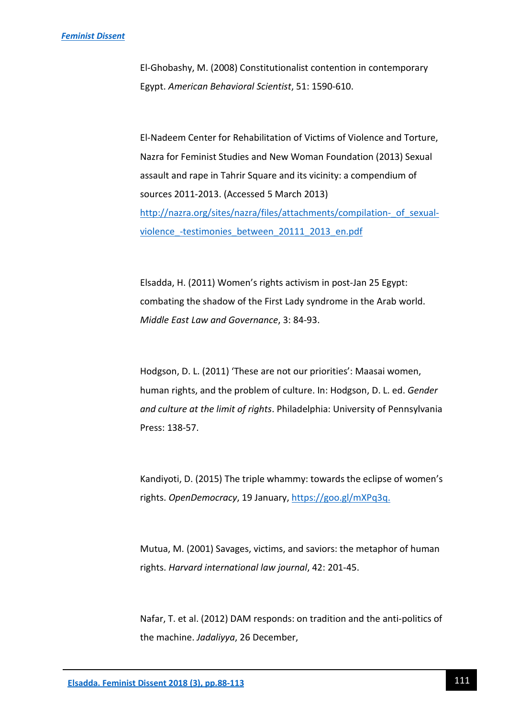El-Ghobashy, M. (2008) Constitutionalist contention in contemporary Egypt. *American Behavioral Scientist*, 51: 1590-610.

El-Nadeem Center for Rehabilitation of Victims of Violence and Torture, Nazra for Feminist Studies and New Woman Foundation (2013) Sexual assault and rape in Tahrir Square and its vicinity: a compendium of sources 2011-2013. (Accessed 5 March 2013) http://nazra.org/sites/nazra/files/attachments/compilation- of sexualviolence -testimonies between 20111 2013 en.pdf

Elsadda, H. (2011) Women's rights activism in post-Jan 25 Egypt: combating the shadow of the First Lady syndrome in the Arab world. *Middle East Law and Governance*, 3: 84-93.

Hodgson, D. L. (2011) 'These are not our priorities': Maasai women, human rights, and the problem of culture. In: Hodgson, D. L. ed. *Gender and culture at the limit of rights*. Philadelphia: University of Pennsylvania Press: 138-57.

Kandiyoti, D. (2015) The triple whammy: towards the eclipse of women's rights. *OpenDemocracy*, 19 January[, https://goo.gl/mXPq3q.](https://goo.gl/mXPq3q)

Mutua, M. (2001) Savages, victims, and saviors: the metaphor of human rights. *Harvard international law journal*, 42: 201-45.

Nafar, T. et al. (2012) DAM responds: on tradition and the anti-politics of the machine. *Jadaliyya*, 26 December,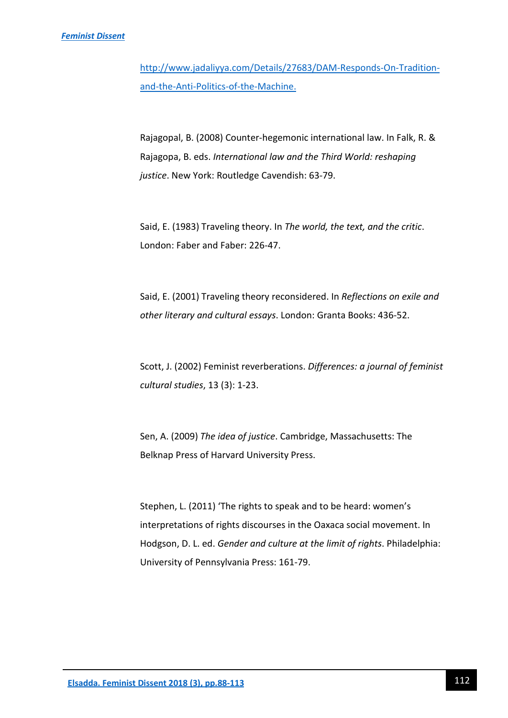#### *[Feminist Dissent](https://journals.warwick.ac.uk/index.php/feministdissent/index)*

[http://www.jadaliyya.com/Details/27683/DAM-Responds-On-Tradition](http://www.jadaliyya.com/Details/27683/DAM-Responds-On-Tradition-and-the-Anti-Politics-of-the-Machine)[and-the-Anti-Politics-of-the-Machine.](http://www.jadaliyya.com/Details/27683/DAM-Responds-On-Tradition-and-the-Anti-Politics-of-the-Machine)

Rajagopal, B. (2008) Counter-hegemonic international law. In Falk, R. & Rajagopa, B. eds. *International law and the Third World: reshaping justice*. New York: Routledge Cavendish: 63-79.

Said, E. (1983) Traveling theory. In *The world, the text, and the critic*. London: Faber and Faber: 226-47.

Said, E. (2001) Traveling theory reconsidered. In *Reflections on exile and other literary and cultural essays*. London: Granta Books: 436-52.

Scott, J. (2002) Feminist reverberations. *Differences: a journal of feminist cultural studies*, 13 (3): 1-23.

Sen, A. (2009) *The idea of justice*. Cambridge, Massachusetts: The Belknap Press of Harvard University Press.

Stephen, L. (2011) 'The rights to speak and to be heard: women's interpretations of rights discourses in the Oaxaca social movement. In Hodgson, D. L. ed. *Gender and culture at the limit of rights*. Philadelphia: University of Pennsylvania Press: 161-79.